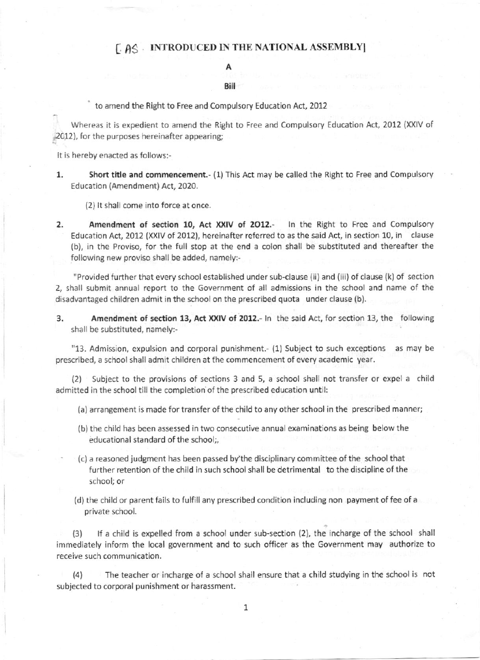## f A3 INTRODUCED IN THE NATIONAL ASSEMBLYI

## A

## **Bill**

to amend the Right to Free and Compulsory Education Act, 2012

Whereas it is expedient to amend the Right to Free and Compulsory Education Act, 2012 (XXIV of 2012), for the purposes hereinafter appearing;

It is hereby enacted as follows:-

Short title and commencement.- (1) This Act may be called the Right to Free and Compulsory Education (Amendment) Act, 2020. 1

(2) It shall come into force at once.

2. Amendment of section 10, Act XXIV of 2012.- In the Right to Free and Compulsory Education Act, 2012 (XXIV of 2012), hereinafter referred to as the said Act. in section 10, in clause (b), in the Proviso, for the full stop at the end a colon shall be substituted and thereafter the following new proviso shall be added, namely:-

"Provided further that every school established under sub-clause (ii) and (iii) of clause (k) of section 2, shall submit annual report to the Government of all admissions in the school and name of the disadvantaged children admit in the school on the prescribed quota under clause (b).

3. Amendment of section 13, Act XXIV of 2012.- In the said Act, for section 13, the following shall be substituted, namely:-

"13. Admission, expulsion and corporal punishment.- (1) Subject to such exceptions as may be prescribed, a school shall admit children at the commencement of every academic year.

(2| Subject to the provisions of sections 3 and 5, a school shall not transfer or expel a child admitted in the school till the completion of the prescribed education until:

- (a) arrangement is made for transfer of the child to any other school in the prescribed manner;
- (b) the child has been assessed in two consecutive annual examinations as being below the educational standard of the school;,
- (c) a reasoned judgment has been passed by the disciplinary committee of the school that further retention of the child in such school shall be detrimental to the discipline of the school; or
- (d) the child or parent fails to fulfillany prescribed condition including non payment of fee of a private school.

(3) If a child is expelled from a school under sub-section (2), the incharge of the school shall immediately inform the local government and to such officer as the Government may authorize to receive such communication.

14) The teacher or incharge of a school shall ensure that a child studying in the school is not subjected to corporal punishment or harassment.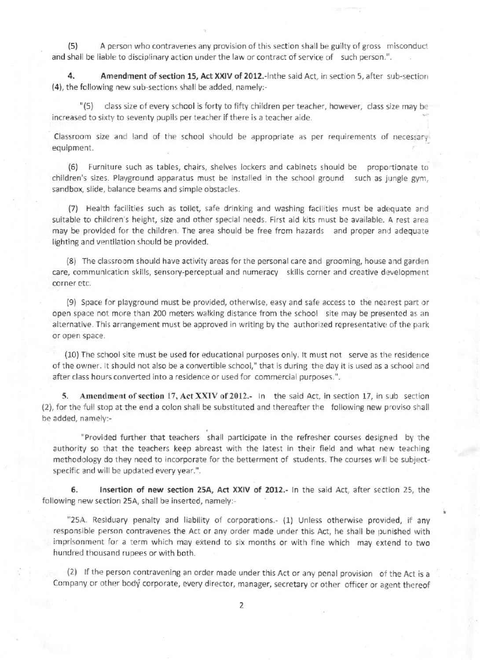(5) A person who contravenes any provision of this section shall be guilty of gross misconduct and shall be liable to disciplinary action under the law or contract of service of such person.".

4. Amendment of section 15, Act XXIV of 2012.- Inthe said Act, in section 5, after sub-section (4), the following new sub-sections shall be added, namely:.

"(5) class size of every school is forty to fifty children per teacher, however, class size may be increased to sixty to seventy pupils per teacher if there is a teacher aide.

Classroom size and land of the school should be appropriate as per requirements of necessary equipment.

(6) Furniture such as tables, chairs, shelves lockers and cabinets should be proportionate to children's sizes. Playground apparatus must be installed in the school ground such as jungle gym, sandbox, slide, balance beams and simple obstacles.

(7) Health facilities such as toilet, safe drinking and washing facilities must be adequate and suitable to children's height, size and other special needs. First aid kits must be available. A rest area may be provided for the children. The area should be free from hazards and proper anl adequate lighting and ventilation should be provided.

(8) The classroom should have activity areas for the personal care and grooming, house and garden care, communication skills, sensory-perceptual and numeracy skills corner and creative development corner etc.

(9) Space for playground must be provided, otherwise, easy and safe access to the nearest part or open space not more than 200 meters welking distance from the school site may be presented as an alternative. This arrangement must be approved in writing by the authorized representative of the park or open space.

(10) The school site must be used for educational purposes only. It must not serve as the residence of the owner. It should not also be a convertible school," that is during the day it is used as a school and after class hours converted into a residence or used for commercial purposes.".

5. Amendment of section 17, Act XXIV of 2012.- In the said Act, in section 17, in sub section (2), for the full stop at the end a colon shall be substituted and thereafter the following new proviso shall be added, namely:-

"Provided further that teachers shall participate in the refresher courses designed by the authority so that the teachers keep abreast with the latest in their field and what new teaching methodology do they need to incorporate for the betterment of students. The courses will be subjectspecific and will be updated every year.".

6. Insertion of new section 25A, Act XXIV of 2012.- In the said Act, after section 25, the following new section 25A, shall be inserted, namely:-

"25A. Residuary penalty and liability of corporations.- (1) Unless otherwise provided, if any responsible person contravenes the Act or any order made under this Act, he shall be punished with imprisonment for a term which may extend to six months or with fine which may extend to two hundred thousand rupees or with both.

(2) lf the person contravening an order made under this Act or any penal provision of the Act is a Company or other body corporate, every director, manager, secretary or other officer or agent thereof

2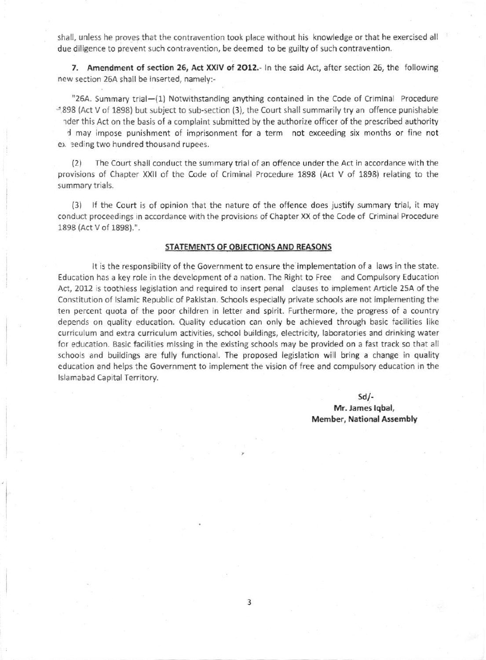shall, unless he proves that the contravention took place without his knowledge or that he exercised all due diligence to prevent such contravention, be deemed to be guilty of such contravention.

7. Amendment of section 26, Act XXIV of 2012.- In the said Act, after section 26, the following new section 26A shall be inserted, namely:-

"26A. Summary trial-(1) Notwithstanding anything contained in the Code of Criminal Procedure  $-898$  (Act V of 1898) but subject to sub-section (3), the Court shall summarily try an offence punishable helder this Act on the basis of a complaint submitted by the authorize officer of the prescribed authority

d may impose punishment of imprisonment for a term not exceeding six months or fine not ex eding two hundred thousand rupees.

{2) The Court shall conduct the summary trial of an offence under the Act in accordance wrth the provisions of Chapter XXll of the Code of Criminal Procedure 1898 {Act V of 1898) relating to the summary trials.

(3) lf the Court is of opinion that the nature of the offence does iustify summarv trial, it may conduct proceedings in accordance with the provisions of Chapter XX of the Code of Criminal Procedure 1898 (Act V of 1898).".

## STATEMENTS OF OBJECTIONS AND REASONS

It is the responsibility of the Government to ensure the implementation of a laws in the state. Education has a key role in the development of a nation. The Right to Free and Compulsory Education Act, 2012 is toothless legislation and required to insert penal clauses to implement Article 25A of the Constitution of Islamic Republic of Pakistan. Schools especially private schools are not implementing the ten percent quota of the poor children in letter and spirit. Furthermore, the progress of a country depends on quality education. Quality education can only be achieved through basic facilities like curriculum and extra curriculum activities, school buildings, electricity, laboratories and drinking water for education. Basic facilities missing in the existing schools may be provided on a fast track so that all schools and buildings are fully functional. The proposed legislation will bring a change in quality education and helps the 6overnment to implement the vision of free and compulsory education in the lslamabad Capital Territory.

> $Sd$ /-Mr. James Iqbal, Merhber, National Assembly